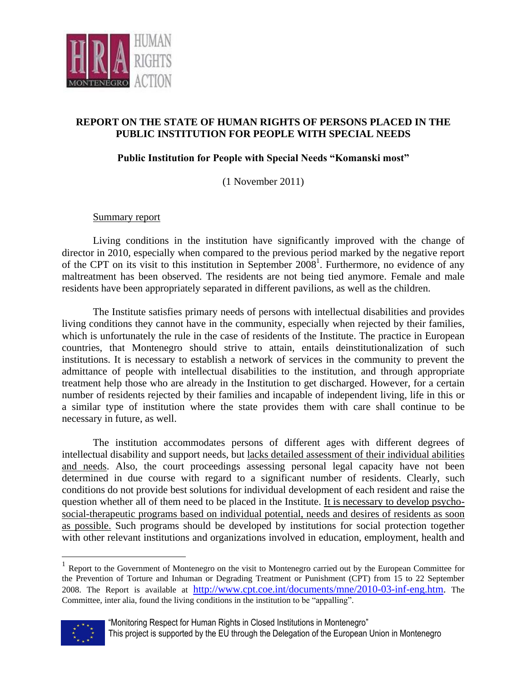

## **REPORT ON THE STATE OF HUMAN RIGHTS OF PERSONS PLACED IN THE PUBLIC INSTITUTION FOR PEOPLE WITH SPECIAL NEEDS**

## **Public Institution for People with Special Needs "Komanski most"**

(1 November 2011)

## Summary report

Living conditions in the institution have significantly improved with the change of director in 2010, especially when compared to the previous period marked by the negative report of the CPT on its visit to this institution in September 2008<sup>1</sup>. Furthermore, no evidence of any maltreatment has been observed. The residents are not being tied anymore. Female and male residents have been appropriately separated in different pavilions, as well as the children.

The Institute satisfies primary needs of persons with intellectual disabilities and provides living conditions they cannot have in the community, especially when rejected by their families, which is unfortunately the rule in the case of residents of the Institute. The practice in European countries, that Montenegro should strive to attain, entails deinstitutionalization of such institutions. It is necessary to establish a network of services in the community to prevent the admittance of people with intellectual disabilities to the institution, and through appropriate treatment help those who are already in the Institution to get discharged. However, for a certain number of residents rejected by their families and incapable of independent living, life in this or a similar type of institution where the state provides them with care shall continue to be necessary in future, as well.

The institution accommodates persons of different ages with different degrees of intellectual disability and support needs, but lacks detailed assessment of their individual abilities and needs. Also, the court proceedings assessing personal legal capacity have not been determined in due course with regard to a significant number of residents. Clearly, such conditions do not provide best solutions for individual development of each resident and raise the question whether all of them need to be placed in the Institute. It is necessary to develop psychosocial-therapeutic programs based on individual potential, needs and desires of residents as soon as possible. Such programs should be developed by institutions for social protection together with other relevant institutions and organizations involved in education, employment, health and

<sup>&</sup>lt;sup>1</sup> Report to the Government of Montenegro on the visit to Montenegro carried out by the European Committee for the Prevention of Torture and Inhuman or Degrading Treatment or Punishment (CPT) from 15 to 22 September 2008. The Report is available at [http://www.cpt.coe.int/documents/mne/2010-03-inf-eng.htm.](http://www.cpt.coe.int/documents/mne/2010-03-inf-eng.htm) The Committee, inter alia, found the living conditions in the institution to be "appalling".